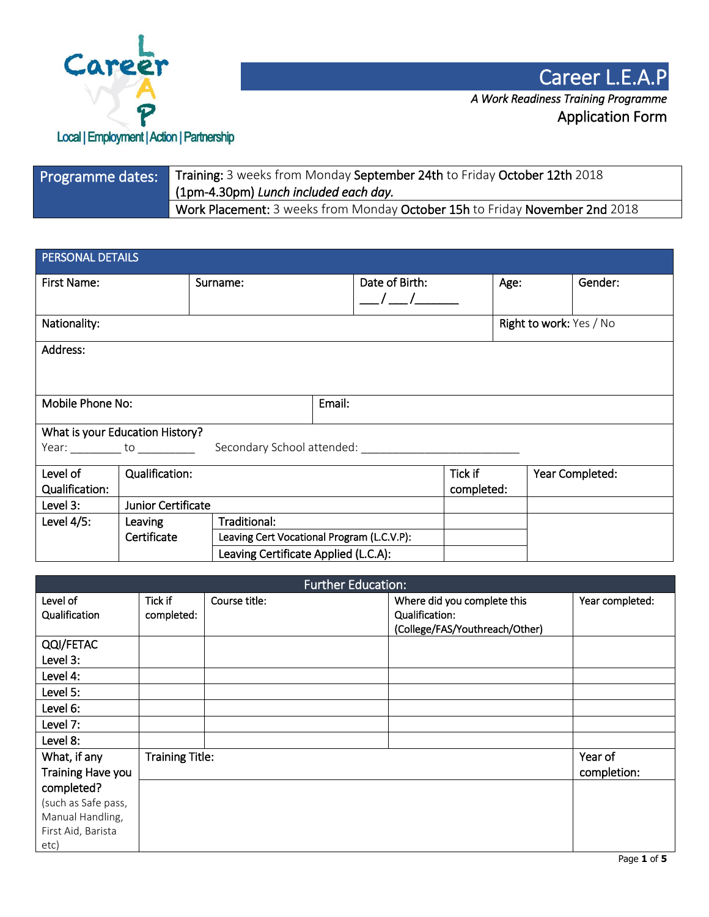

| Programme dates: | Training: 3 weeks from Monday September 24th to Friday October 12th 2018<br>(1pm-4.30pm) Lunch included each day. |
|------------------|-------------------------------------------------------------------------------------------------------------------|
|                  | Work Placement: 3 weeks from Monday October 15h to Friday November 2nd 2018                                       |

| PERSONAL DETAILS                                                                                          |                    |                                      |                                            |                |                         |      |  |                 |
|-----------------------------------------------------------------------------------------------------------|--------------------|--------------------------------------|--------------------------------------------|----------------|-------------------------|------|--|-----------------|
| First Name:                                                                                               |                    | Surname:                             |                                            | Date of Birth: |                         | Age: |  | Gender:         |
|                                                                                                           |                    |                                      |                                            | $\sqrt{2}$     |                         |      |  |                 |
| Nationality:                                                                                              |                    |                                      |                                            |                | Right to work: Yes / No |      |  |                 |
| Address:                                                                                                  |                    |                                      |                                            |                |                         |      |  |                 |
|                                                                                                           |                    |                                      |                                            |                |                         |      |  |                 |
|                                                                                                           |                    |                                      |                                            |                |                         |      |  |                 |
| Mobile Phone No:<br>Email:                                                                                |                    |                                      |                                            |                |                         |      |  |                 |
| What is your Education History?                                                                           |                    |                                      |                                            |                |                         |      |  |                 |
| Year: ___________ to ___________<br>Secondary School attended: The Contract of Secondary School attended: |                    |                                      |                                            |                |                         |      |  |                 |
| Level of                                                                                                  | Qualification:     |                                      |                                            |                | Tick if                 |      |  | Year Completed: |
| Qualification:                                                                                            |                    |                                      |                                            |                | completed:              |      |  |                 |
| Level 3:                                                                                                  | Junior Certificate |                                      |                                            |                |                         |      |  |                 |
| Level $4/5$ :                                                                                             | Leaving            | Traditional:                         |                                            |                |                         |      |  |                 |
|                                                                                                           | Certificate        |                                      | Leaving Cert Vocational Program (L.C.V.P): |                |                         |      |  |                 |
|                                                                                                           |                    | Leaving Certificate Applied (L.C.A): |                                            |                |                         |      |  |                 |

| <b>Further Education:</b> |                                                         |  |                                |                 |
|---------------------------|---------------------------------------------------------|--|--------------------------------|-----------------|
| Level of                  | Tick if<br>Course title:<br>Where did you complete this |  |                                | Year completed: |
| Qualification             | completed:                                              |  | Qualification:                 |                 |
|                           |                                                         |  | (College/FAS/Youthreach/Other) |                 |
| QQI/FETAC                 |                                                         |  |                                |                 |
| Level 3:                  |                                                         |  |                                |                 |
| Level 4:                  |                                                         |  |                                |                 |
| Level 5:                  |                                                         |  |                                |                 |
| Level 6:                  |                                                         |  |                                |                 |
| Level 7:                  |                                                         |  |                                |                 |
| Level 8:                  |                                                         |  |                                |                 |
| What, if any              | <b>Training Title:</b>                                  |  |                                | Year of         |
| Training Have you         |                                                         |  |                                | completion:     |
| completed?                |                                                         |  |                                |                 |
| (such as Safe pass,       |                                                         |  |                                |                 |
| Manual Handling,          |                                                         |  |                                |                 |
| First Aid, Barista        |                                                         |  |                                |                 |
| etc)                      |                                                         |  |                                |                 |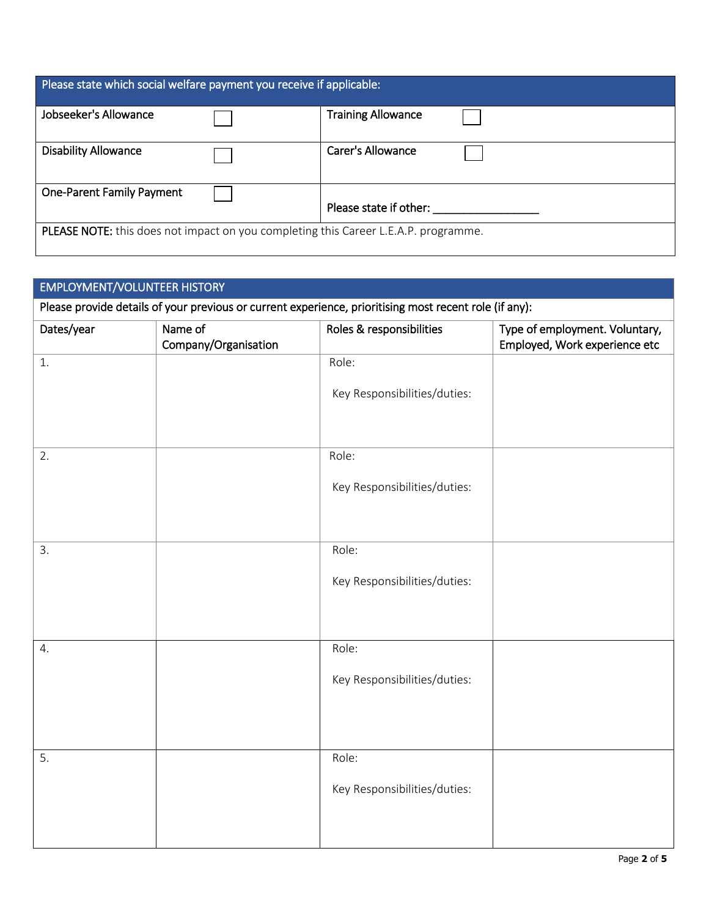| Please state which social welfare payment you receive if applicable:                       |  |                           |  |  |
|--------------------------------------------------------------------------------------------|--|---------------------------|--|--|
| Jobseeker's Allowance                                                                      |  | <b>Training Allowance</b> |  |  |
| <b>Disability Allowance</b>                                                                |  | Carer's Allowance         |  |  |
| <b>One-Parent Family Payment</b>                                                           |  | Please state if other:    |  |  |
| <b>PLEASE NOTE:</b> this does not impact on you completing this Career L.E.A.P. programme. |  |                           |  |  |

| <b>EMPLOYMENT/VOLUNTEER HISTORY</b> |                                 |                                                                                                        |                                                                 |  |
|-------------------------------------|---------------------------------|--------------------------------------------------------------------------------------------------------|-----------------------------------------------------------------|--|
|                                     |                                 | Please provide details of your previous or current experience, prioritising most recent role (if any): |                                                                 |  |
| Dates/year                          | Name of<br>Company/Organisation | Roles & responsibilities                                                                               | Type of employment. Voluntary,<br>Employed, Work experience etc |  |
| 1.                                  |                                 | Role:                                                                                                  |                                                                 |  |
|                                     |                                 | Key Responsibilities/duties:                                                                           |                                                                 |  |
| 2.                                  |                                 | Role:                                                                                                  |                                                                 |  |
|                                     |                                 | Key Responsibilities/duties:                                                                           |                                                                 |  |
| 3.                                  |                                 | Role:                                                                                                  |                                                                 |  |
|                                     |                                 | Key Responsibilities/duties:                                                                           |                                                                 |  |
| 4.                                  |                                 | Role:                                                                                                  |                                                                 |  |
|                                     |                                 | Key Responsibilities/duties:                                                                           |                                                                 |  |
|                                     |                                 |                                                                                                        |                                                                 |  |
| 5.                                  |                                 | Role:                                                                                                  |                                                                 |  |
|                                     |                                 | Key Responsibilities/duties:                                                                           |                                                                 |  |
|                                     |                                 |                                                                                                        |                                                                 |  |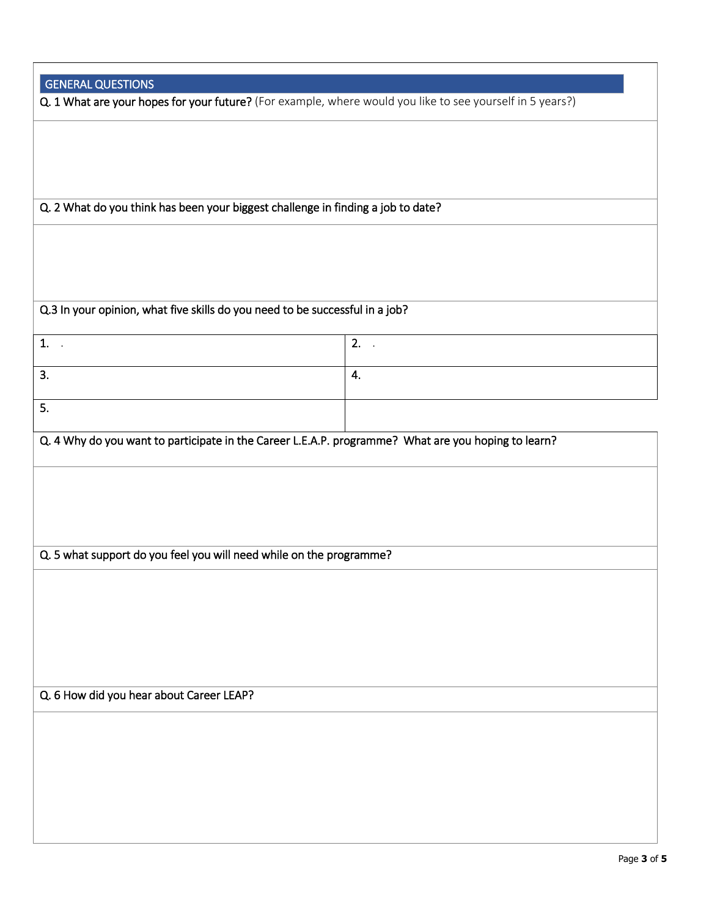| <b>GENERAL QUESTIONS</b>                                                                                  |    |  |  |  |  |
|-----------------------------------------------------------------------------------------------------------|----|--|--|--|--|
| Q. 1 What are your hopes for your future? (For example, where would you like to see yourself in 5 years?) |    |  |  |  |  |
|                                                                                                           |    |  |  |  |  |
|                                                                                                           |    |  |  |  |  |
|                                                                                                           |    |  |  |  |  |
| Q. 2 What do you think has been your biggest challenge in finding a job to date?                          |    |  |  |  |  |
|                                                                                                           |    |  |  |  |  |
|                                                                                                           |    |  |  |  |  |
| Q.3 In your opinion, what five skills do you need to be successful in a job?                              |    |  |  |  |  |
| 1.                                                                                                        | 2. |  |  |  |  |
| $\overline{\phantom{a}}$                                                                                  |    |  |  |  |  |
| 3.                                                                                                        | 4. |  |  |  |  |
| 5.                                                                                                        |    |  |  |  |  |
| Q. 4 Why do you want to participate in the Career L.E.A.P. programme? What are you hoping to learn?       |    |  |  |  |  |
|                                                                                                           |    |  |  |  |  |
|                                                                                                           |    |  |  |  |  |
|                                                                                                           |    |  |  |  |  |
| Q. 5 what support do you feel you will need while on the programme?                                       |    |  |  |  |  |
|                                                                                                           |    |  |  |  |  |
|                                                                                                           |    |  |  |  |  |
|                                                                                                           |    |  |  |  |  |
|                                                                                                           |    |  |  |  |  |
| Q. 6 How did you hear about Career LEAP?                                                                  |    |  |  |  |  |
|                                                                                                           |    |  |  |  |  |
|                                                                                                           |    |  |  |  |  |
|                                                                                                           |    |  |  |  |  |
|                                                                                                           |    |  |  |  |  |
|                                                                                                           |    |  |  |  |  |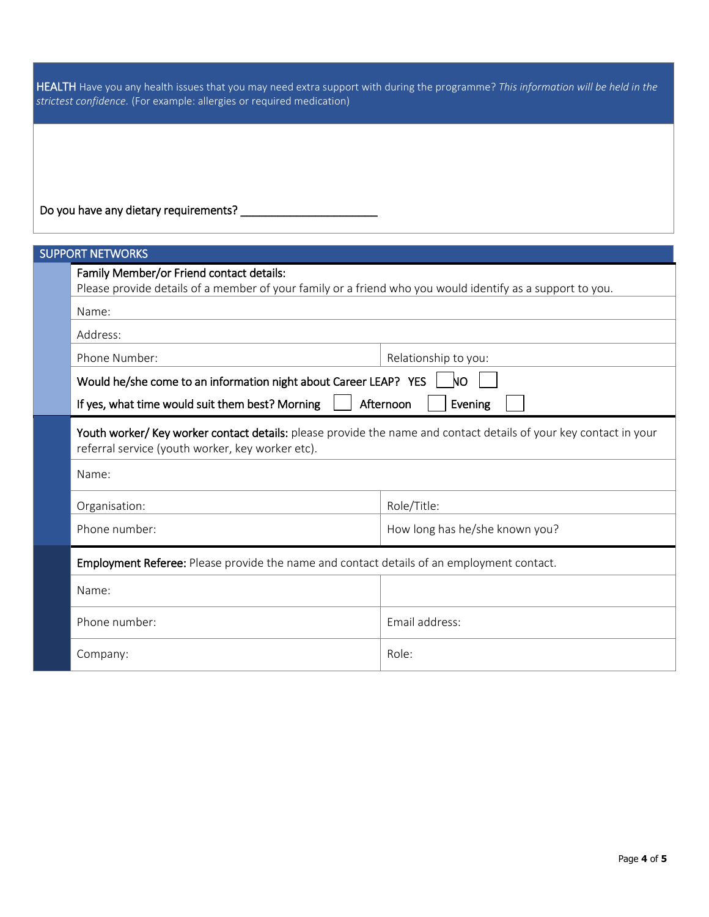HEALTH Have you any health issues that you may need extra support with during the programme? *This information will be held in the strictest confidence.* (For example: allergies or required medication)

Do you have any dietary requirements? \_\_\_\_\_\_\_\_\_\_\_\_\_\_\_\_\_\_\_\_\_\_

| <b>SUPPORT NETWORKS</b>                                                                                                                                               |                                |  |  |  |
|-----------------------------------------------------------------------------------------------------------------------------------------------------------------------|--------------------------------|--|--|--|
| Family Member/or Friend contact details:<br>Please provide details of a member of your family or a friend who you would identify as a support to you.                 |                                |  |  |  |
| Name:                                                                                                                                                                 |                                |  |  |  |
| Address:                                                                                                                                                              |                                |  |  |  |
| Phone Number:<br>Relationship to you:                                                                                                                                 |                                |  |  |  |
| Would he/she come to an information night about Career LEAP? YES<br>NО                                                                                                |                                |  |  |  |
| If yes, what time would suit them best? Morning<br>Afternoon<br>Evening                                                                                               |                                |  |  |  |
| Youth worker/ Key worker contact details: please provide the name and contact details of your key contact in your<br>referral service (youth worker, key worker etc). |                                |  |  |  |
| Name:                                                                                                                                                                 |                                |  |  |  |
| Organisation:                                                                                                                                                         | Role/Title:                    |  |  |  |
| Phone number:                                                                                                                                                         | How long has he/she known you? |  |  |  |
| Employment Referee: Please provide the name and contact details of an employment contact.                                                                             |                                |  |  |  |
| Name:                                                                                                                                                                 |                                |  |  |  |
| Phone number:                                                                                                                                                         | Email address:                 |  |  |  |
| Company:                                                                                                                                                              | Role:                          |  |  |  |